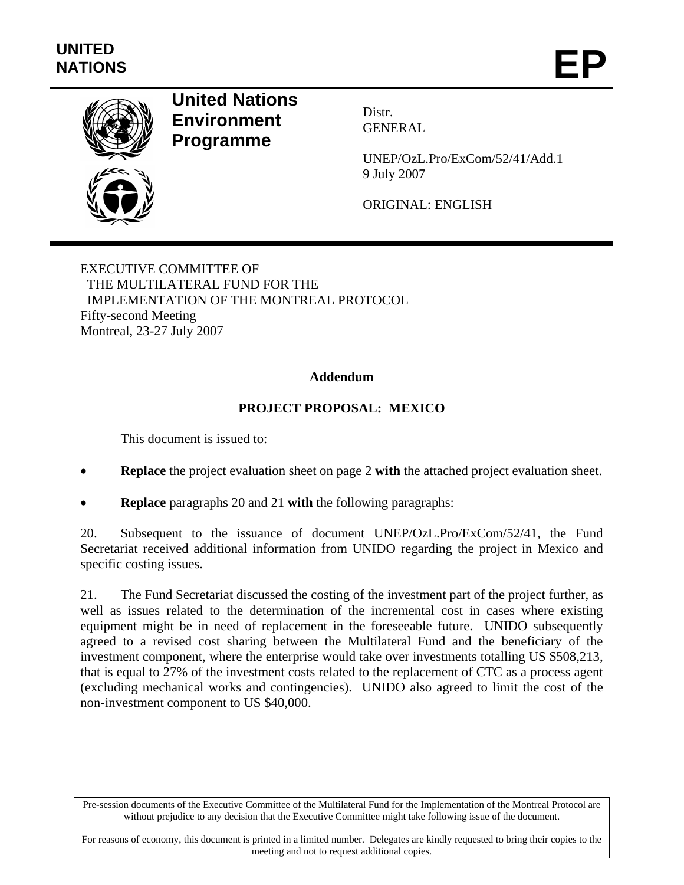

# **United Nations Environment Programme**

Distr. GENERAL

UNEP/OzL.Pro/ExCom/52/41/Add.1 9 July 2007

ORIGINAL: ENGLISH

EXECUTIVE COMMITTEE OF THE MULTILATERAL FUND FOR THE IMPLEMENTATION OF THE MONTREAL PROTOCOL Fifty-second Meeting Montreal, 23-27 July 2007

#### **Addendum**

## **PROJECT PROPOSAL: MEXICO**

This document is issued to:

- **Replace** the project evaluation sheet on page 2 **with** the attached project evaluation sheet.
- **Replace** paragraphs 20 and 21 **with** the following paragraphs:

20. Subsequent to the issuance of document UNEP/OzL.Pro/ExCom/52/41, the Fund Secretariat received additional information from UNIDO regarding the project in Mexico and specific costing issues.

21. The Fund Secretariat discussed the costing of the investment part of the project further, as well as issues related to the determination of the incremental cost in cases where existing equipment might be in need of replacement in the foreseeable future. UNIDO subsequently agreed to a revised cost sharing between the Multilateral Fund and the beneficiary of the investment component, where the enterprise would take over investments totalling US \$508,213, that is equal to 27% of the investment costs related to the replacement of CTC as a process agent (excluding mechanical works and contingencies). UNIDO also agreed to limit the cost of the non-investment component to US \$40,000.

Pre-session documents of the Executive Committee of the Multilateral Fund for the Implementation of the Montreal Protocol are without prejudice to any decision that the Executive Committee might take following issue of the document.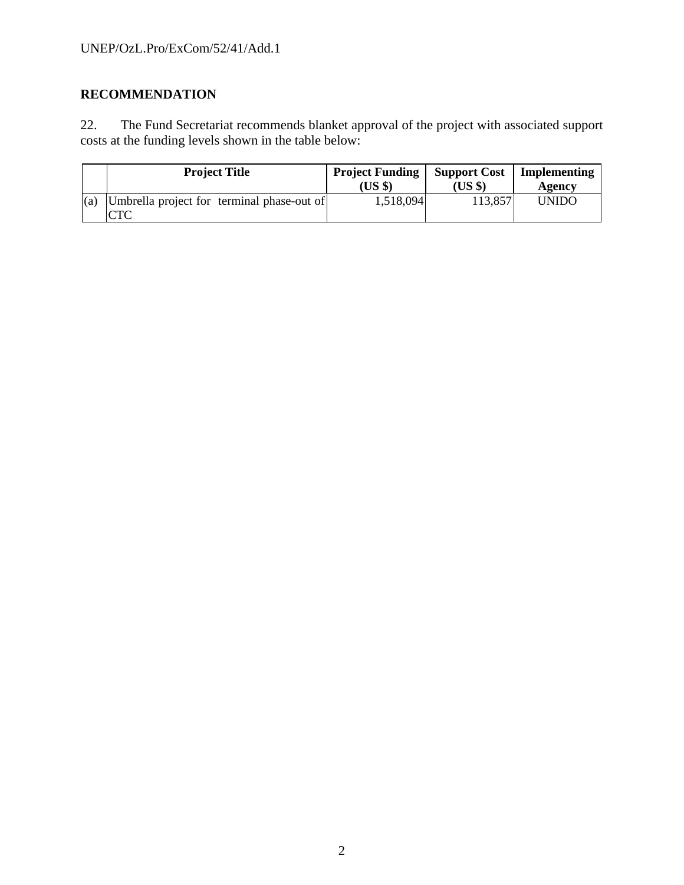# **RECOMMENDATION**

22. The Fund Secretariat recommends blanket approval of the project with associated support costs at the funding levels shown in the table below:

|     | <b>Project Title</b>                              | <b>Project Funding</b><br>(US \$) | <b>Support Cost</b><br>(US \$) | Implementing<br>Agency |
|-----|---------------------------------------------------|-----------------------------------|--------------------------------|------------------------|
| (a) | Umbrella project for terminal phase-out of<br>CTC | 1,518,094                         | 113,857                        | <b>UNIDO</b>           |